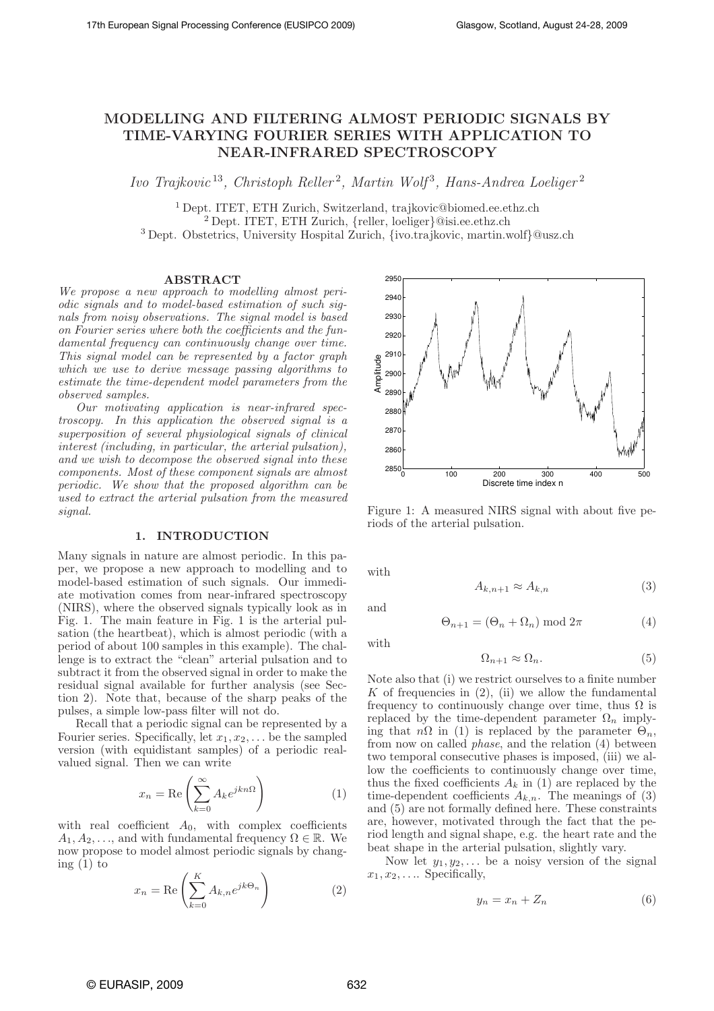# MODELLING AND FILTERING ALMOST PERIODIC SIGNALS BY TIME-VARYING FOURIER SERIES WITH APPLICATION TO NEAR-INFRARED SPECTROSCOPY

Ivo Trajkovic<sup>13</sup>, Christoph Reller<sup>2</sup>, Martin Wolf<sup>3</sup>, Hans-Andrea Loeliger<sup>2</sup>

<sup>1</sup> Dept. ITET, ETH Zurich, Switzerland, trajkovic@biomed.ee.ethz.ch <sup>2</sup> Dept. ITET, ETH Zurich, {reller, loeliger}@isi.ee.ethz.ch <sup>3</sup> Dept. Obstetrics, University Hospital Zurich, {ivo.trajkovic, martin.wolf}@usz.ch

#### ABSTRACT

We propose a new approach to modelling almost periodic signals and to model-based estimation of such signals from noisy observations. The signal model is based on Fourier series where both the coefficients and the fundamental frequency can continuously change over time. This signal model can be represented by a factor graph which we use to derive message passing algorithms to estimate the time-dependent model parameters from the observed samples.

Our motivating application is near-infrared spectroscopy. In this application the observed signal is a superposition of several physiological signals of clinical interest (including, in particular, the arterial pulsation), and we wish to decompose the observed signal into these components. Most of these component signals are almost periodic. We show that the proposed algorithm can be used to extract the arterial pulsation from the measured signal.

# 1. INTRODUCTION

Many signals in nature are almost periodic. In this paper, we propose a new approach to modelling and to model-based estimation of such signals. Our immediate motivation comes from near-infrared spectroscopy (NIRS), where the observed signals typically look as in Fig. 1. The main feature in Fig. 1 is the arterial pulsation (the heartbeat), which is almost periodic (with a period of about 100 samples in this example). The challenge is to extract the "clean" arterial pulsation and to subtract it from the observed signal in order to make the residual signal available for further analysis (see Section 2). Note that, because of the sharp peaks of the pulses, a simple low-pass filter will not do.

Recall that a periodic signal can be represented by a Fourier series. Specifically, let  $x_1, x_2, \ldots$  be the sampled version (with equidistant samples) of a periodic realvalued signal. Then we can write

$$
x_n = \text{Re}\left(\sum_{k=0}^{\infty} A_k e^{jkn\Omega}\right) \tag{1}
$$

with real coefficient  $A_0$ , with complex coefficients  $A_1, A_2, \ldots$ , and with fundamental frequency  $\Omega \in \mathbb{R}$ . We now propose to model almost periodic signals by changing  $(1)$  to

$$
x_n = \text{Re}\left(\sum_{k=0}^{K} A_{k,n} e^{jk\Theta_n}\right) \tag{2}
$$



Figure 1: A measured NIRS signal with about five periods of the arterial pulsation.

with

and

$$
A_{k,n+1} \approx A_{k,n} \tag{3}
$$

 $\Theta_{n+1} = (\Theta_n + \Omega_n) \bmod 2\pi$  (4)

with

$$
\Omega_{n+1} \approx \Omega_n. \tag{5}
$$

Note also that (i) we restrict ourselves to a finite number K of frequencies in  $(2)$ , (ii) we allow the fundamental frequency to continuously change over time, thus  $\Omega$  is replaced by the time-dependent parameter  $\Omega_n$  implying that  $n\Omega$  in (1) is replaced by the parameter  $\Theta_n$ , from now on called phase, and the relation (4) between two temporal consecutive phases is imposed, (iii) we allow the coefficients to continuously change over time, thus the fixed coefficients  $A_k$  in (1) are replaced by the time-dependent coefficients  $A_{k,n}$ . The meanings of (3) and (5) are not formally defined here. These constraints are, however, motivated through the fact that the period length and signal shape, e.g. the heart rate and the beat shape in the arterial pulsation, slightly vary.

Now let  $y_1, y_2, \ldots$  be a noisy version of the signal  $x_1, x_2, \ldots$  Specifically,

$$
y_n = x_n + Z_n \tag{6}
$$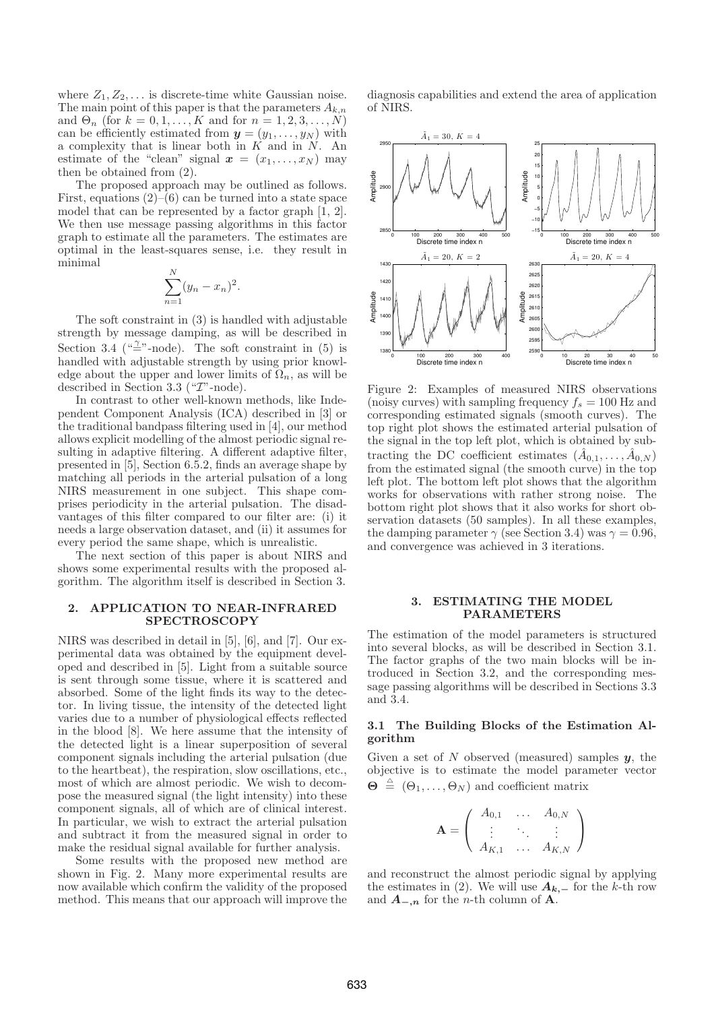where  $Z_1, Z_2, \ldots$  is discrete-time white Gaussian noise. The main point of this paper is that the parameters  $A_{k,n}$ and  $\Theta_n$  (for  $k = 0, 1, \ldots, K$  and for  $n = 1, 2, 3, \ldots, N$ ) can be efficiently estimated from  $y = (y_1, \ldots, y_N)$  with a complexity that is linear both in  $K$  and in  $N$ . An estimate of the "clean" signal  $\boldsymbol{x} = (x_1, \ldots, x_N)$  may then be obtained from (2).

The proposed approach may be outlined as follows. First, equations  $(2)$ – $(6)$  can be turned into a state space model that can be represented by a factor graph [1, 2]. We then use message passing algorithms in this factor graph to estimate all the parameters. The estimates are optimal in the least-squares sense, i.e. they result in minimal

$$
\sum_{n=1}^{N} (y_n - x_n)^2.
$$

The soft constraint in (3) is handled with adjustable strength by message damping, as will be described in Section 3.4 (" $\stackrel{\gamma}{=}$ "-node). The soft constraint in (5) is handled with adjustable strength by using prior knowledge about the upper and lower limits of  $\Omega_n$ , as will be described in Section 3.3 (" $T$ "-node).

In contrast to other well-known methods, like Independent Component Analysis (ICA) described in [3] or the traditional bandpass filtering used in [4], our method allows explicit modelling of the almost periodic signal resulting in adaptive filtering. A different adaptive filter, presented in [5], Section 6.5.2, finds an average shape by matching all periods in the arterial pulsation of a long NIRS measurement in one subject. This shape comprises periodicity in the arterial pulsation. The disadvantages of this filter compared to our filter are: (i) it needs a large observation dataset, and (ii) it assumes for every period the same shape, which is unrealistic.

The next section of this paper is about NIRS and shows some experimental results with the proposed algorithm. The algorithm itself is described in Section 3.

## 2. APPLICATION TO NEAR-INFRARED **SPECTROSCOPY**

NIRS was described in detail in [5], [6], and [7]. Our experimental data was obtained by the equipment developed and described in [5]. Light from a suitable source is sent through some tissue, where it is scattered and absorbed. Some of the light finds its way to the detector. In living tissue, the intensity of the detected light varies due to a number of physiological effects reflected in the blood [8]. We here assume that the intensity of the detected light is a linear superposition of several component signals including the arterial pulsation (due to the heartbeat), the respiration, slow oscillations, etc., most of which are almost periodic. We wish to decompose the measured signal (the light intensity) into these component signals, all of which are of clinical interest. In particular, we wish to extract the arterial pulsation and subtract it from the measured signal in order to make the residual signal available for further analysis.

Some results with the proposed new method are shown in Fig. 2. Many more experimental results are now available which confirm the validity of the proposed method. This means that our approach will improve the

diagnosis capabilities and extend the area of application of NIRS.



Figure 2: Examples of measured NIRS observations (noisy curves) with sampling frequency  $f_s = 100$  Hz and corresponding estimated signals (smooth curves). The top right plot shows the estimated arterial pulsation of the signal in the top left plot, which is obtained by subtracting the DC coefficient estimates  $(\hat{A}_{0,1},\ldots,\hat{A}_{0,N})$ from the estimated signal (the smooth curve) in the top left plot. The bottom left plot shows that the algorithm works for observations with rather strong noise. The bottom right plot shows that it also works for short observation datasets (50 samples). In all these examples, the damping parameter  $\gamma$  (see Section 3.4) was  $\gamma = 0.96$ , and convergence was achieved in 3 iterations.

# 3. ESTIMATING THE MODEL PARAMETERS

The estimation of the model parameters is structured into several blocks, as will be described in Section 3.1. The factor graphs of the two main blocks will be introduced in Section 3.2, and the corresponding message passing algorithms will be described in Sections 3.3 and 3.4.

# 3.1 The Building Blocks of the Estimation Algorithm

Given a set of N observed (measured) samples  $y$ , the objective is to estimate the model parameter vector  $\mathbf{\Theta} \triangleq (\Theta_1, \dots, \Theta_N)$  and coefficient matrix

$$
\mathbf{A} = \left( \begin{array}{ccc} A_{0,1} & \dots & A_{0,N} \\ \vdots & \ddots & \vdots \\ A_{K,1} & \dots & A_{K,N} \end{array} \right)
$$

and reconstruct the almost periodic signal by applying the estimates in (2). We will use  $A_{k,-}$  for the k-th row and  $\mathbf{A}_{-n}$  for the *n*-th column of  $\mathbf{A}$ .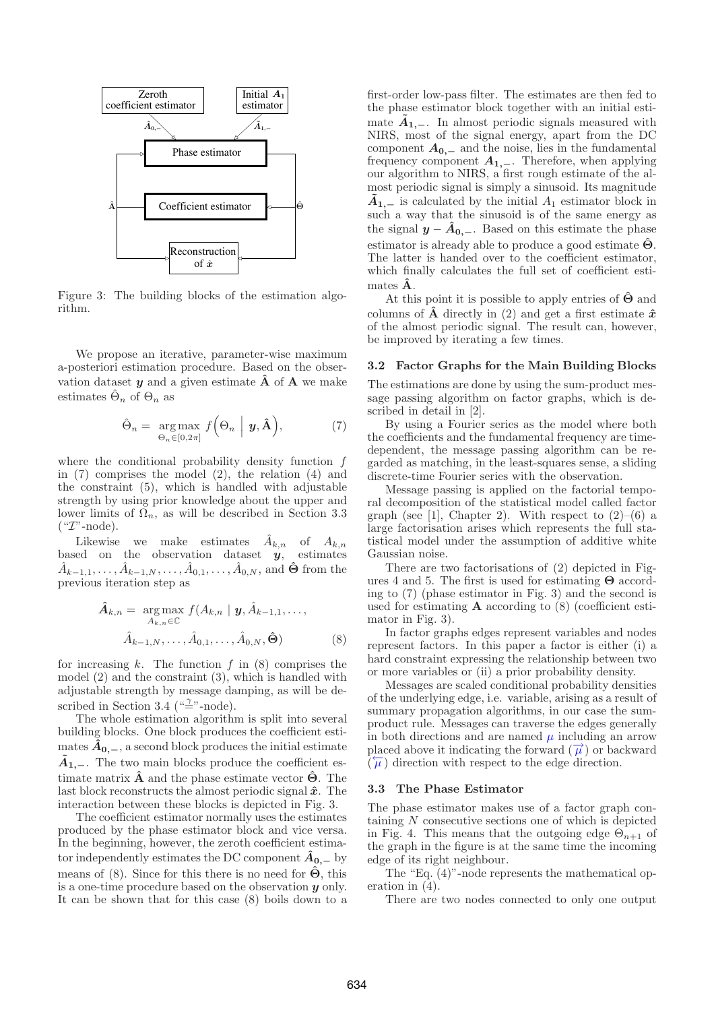

Figure 3: The building blocks of the estimation algorithm.

We propose an iterative, parameter-wise maximum a-posteriori estimation procedure. Based on the observation dataset  $y$  and a given estimate  $\hat{A}$  of  $A$  we make estimates  $\hat{\Theta}_n$  of  $\Theta_n$  as

$$
\hat{\Theta}_n = \underset{\Theta_n \in [0, 2\pi]}{\arg \max} f\Big(\Theta_n \mid \boldsymbol{y}, \hat{\mathbf{A}}\Big), \tag{7}
$$

where the conditional probability density function f in (7) comprises the model (2), the relation (4) and the constraint (5), which is handled with adjustable strength by using prior knowledge about the upper and lower limits of  $\Omega_n$ , as will be described in Section 3.3  $(*\mathcal{I}"\text{-node}).$ 

Likewise we make estimates  $\hat{A}_{k,n}$  of  $A_{k,n}$ based on the observation dataset  $\dot{y}$ , estimates  $\hat{A}_{k-1,1}, \ldots, \hat{A}_{k-1,N}, \ldots, \hat{A}_{0,1}, \ldots, \hat{A}_{0,N},$  and  $\hat{\Theta}$  from the previous iteration step as

$$
\hat{A}_{k,n} = \underset{A_{k,n} \in \mathbb{C}}{\arg \max} f(A_{k,n} \mid \mathbf{y}, \hat{A}_{k-1,1}, \dots, \hat{A}_{k-1,N}, \dots, \hat{A}_{0,1}, \dots, \hat{A}_{0,N}, \hat{\Theta})
$$
\n
$$
(8)
$$

for increasing  $k$ . The function  $f$  in  $(8)$  comprises the model (2) and the constraint (3), which is handled with adjustable strength by message damping, as will be described in Section 3.4 ( $\stackrel{(a''')}{=}$ node).

The whole estimation algorithm is split into several building blocks. One block produces the coefficient estimates  $A_{0,-}$ , a second block produces the initial estimate  $\tilde{A}_{1,-}$ . The two main blocks produce the coefficient estimate matrix  $\hat{\mathbf{A}}$  and the phase estimate vector  $\hat{\mathbf{\Theta}}$ . The last block reconstructs the almost periodic signal  $\hat{x}$ . The interaction between these blocks is depicted in Fig. 3.

The coefficient estimator normally uses the estimates produced by the phase estimator block and vice versa. In the beginning, however, the zeroth coefficient estimator independently estimates the DC component  $\hat{A}_{0,-}$  by means of (8). Since for this there is no need for  $\hat{\Theta}$ , this is a one-time procedure based on the observation  $\boldsymbol{\eta}$  only. It can be shown that for this case (8) boils down to a

first-order low-pass filter. The estimates are then fed to the phase estimator block together with an initial estimate  $\tilde{A}_{1,-}$ . In almost periodic signals measured with NIRS, most of the signal energy, apart from the DC component  $A_{0,-}$  and the noise, lies in the fundamental frequency component  $A_{1,-}$ . Therefore, when applying our algorithm to NIRS, a first rough estimate of the almost periodic signal is simply a sinusoid. Its magnitude  $\tilde{A}_1$ <sub>1</sub> is calculated by the initial  $A_1$  estimator block in such a way that the sinusoid is of the same energy as the signal  $y - \hat{A}_{0,-}$ . Based on this estimate the phase estimator is already able to produce a good estimate  $\hat{\Theta}$ . The latter is handed over to the coefficient estimator, which finally calculates the full set of coefficient estimates  $\ddot{\mathbf{A}}$ .

At this point it is possible to apply entries of  $\hat{\Theta}$  and columns of  $\hat{A}$  directly in (2) and get a first estimate  $\hat{x}$ of the almost periodic signal. The result can, however, be improved by iterating a few times.

#### 3.2 Factor Graphs for the Main Building Blocks

The estimations are done by using the sum-product message passing algorithm on factor graphs, which is described in detail in [2].

By using a Fourier series as the model where both the coefficients and the fundamental frequency are timedependent, the message passing algorithm can be regarded as matching, in the least-squares sense, a sliding discrete-time Fourier series with the observation.

Message passing is applied on the factorial temporal decomposition of the statistical model called factor graph (see [1], Chapter 2). With respect to  $(2)$ – $(6)$  a large factorisation arises which represents the full statistical model under the assumption of additive white Gaussian noise.

There are two factorisations of (2) depicted in Figures 4 and 5. The first is used for estimating  $\Theta$  according to (7) (phase estimator in Fig. 3) and the second is used for estimating  $A$  according to  $(8)$  (coefficient estimator in Fig. 3).

In factor graphs edges represent variables and nodes represent factors. In this paper a factor is either (i) a hard constraint expressing the relationship between two or more variables or (ii) a prior probability density.

Messages are scaled conditional probability densities of the underlying edge, i.e. variable, arising as a result of summary propagation algorithms, in our case the sumproduct rule. Messages can traverse the edges generally in both directions and are named  $\mu$  including an arrow placed above it indicating the forward  $(\vec{\mu})$  or backward  $(\overleftarrow{\mu})$  direction with respect to the edge direction.

### 3.3 The Phase Estimator

The phase estimator makes use of a factor graph containing N consecutive sections one of which is depicted in Fig. 4. This means that the outgoing edge  $\Theta_{n+1}$  of the graph in the figure is at the same time the incoming edge of its right neighbour.

The "Eq. (4)"-node represents the mathematical operation in (4).

There are two nodes connected to only one output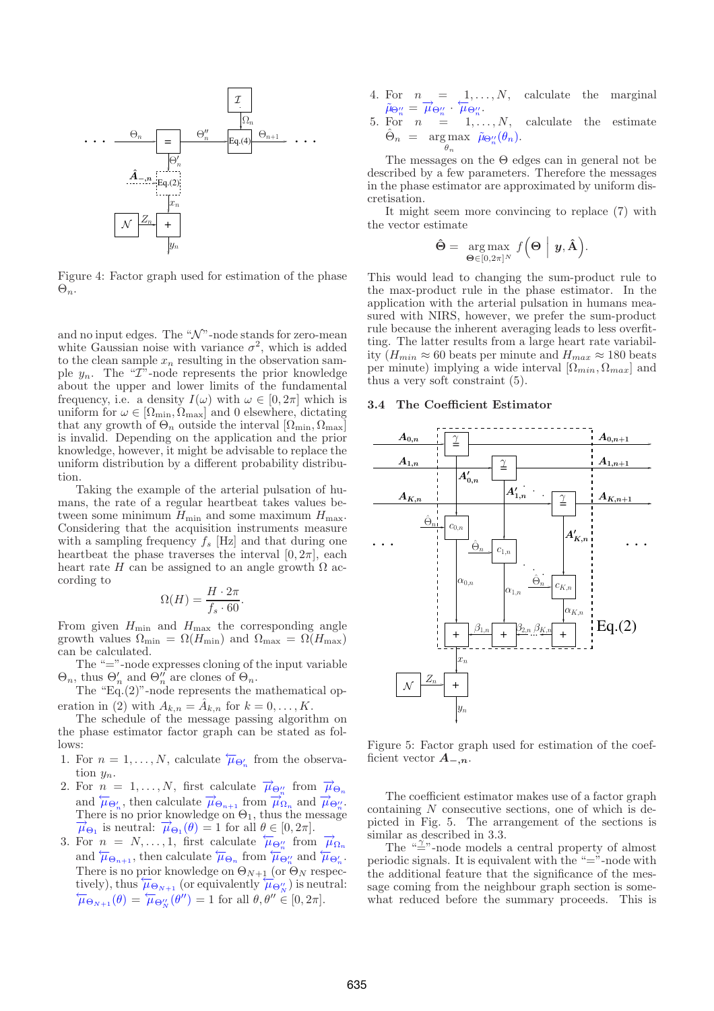

Figure 4: Factor graph used for estimation of the phase  $\Theta_n$ .

and no input edges. The " $\mathcal{N}$ "-node stands for zero-mean white Gaussian noise with variance  $\sigma^2$ , which is added to the clean sample  $x_n$  resulting in the observation sample  $y_n$ . The "*T*"-node represents the prior knowledge about the upper and lower limits of the fundamental frequency, i.e. a density  $I(\omega)$  with  $\omega \in [0, 2\pi]$  which is uniform for  $\omega \in [\Omega_{\min}, \Omega_{\max}]$  and 0 elsewhere, dictating that any growth of  $\Theta_n$  outside the interval  $[\Omega_{\text{min}}, \Omega_{\text{max}}]$ is invalid. Depending on the application and the prior knowledge, however, it might be advisable to replace the uniform distribution by a different probability distribution.

Taking the example of the arterial pulsation of humans, the rate of a regular heartbeat takes values between some minimum  $H_{\text{min}}$  and some maximum  $H_{\text{max}}$ . Considering that the acquisition instruments measure with a sampling frequency  $f_s$  [Hz] and that during one heartbeat the phase traverses the interval  $[0, 2\pi]$ , each heart rate H can be assigned to an angle growth  $\Omega$  according to

$$
\Omega(H) = \frac{H \cdot 2\pi}{f_s \cdot 60}.
$$

From given  $H_{\text{min}}$  and  $H_{\text{max}}$  the corresponding angle growth values  $\Omega_{\text{min}} = \Omega(H_{\text{min}})$  and  $\Omega_{\text{max}} = \Omega(H_{\text{max}})$ can be calculated.

The "="-node expresses cloning of the input variable  $\Theta_n$ , thus  $\Theta'_n$  and  $\Theta''_n$  are clones of  $\Theta_n$ .

The "Eq.(2)"-node represents the mathematical operation in (2) with  $A_{k,n} = \hat{A}_{k,n}$  for  $k = 0, \ldots, K$ .

The schedule of the message passing algorithm on the phase estimator factor graph can be stated as follows:

- 1. For  $n = 1, ..., N$ , calculate  $\overleftarrow{\mu}_{\Theta'_n}$  from the observation  $y_n$ .
- 2. For  $n = 1, ..., N$ , first calculate  $\vec{\mu}_{\Theta''_n}$  from  $\vec{\mu}_{\Theta_n}$ and  $\overleftrightarrow{\mu}_{\Theta'_n}$ , then calculate  $\overrightarrow{\mu}_{\Theta_{n+1}}$  from  $\overrightarrow{\mu}_{\Omega_n}$  and  $\overrightarrow{\mu}_{\Theta''_n}$ . There is no prior knowledge on  $\Theta_1$ , thus the message  $\vec{\mu}_{\Theta_1}$  is neutral:  $\vec{\mu}_{\Theta_1}(\theta) = 1$  for all  $\theta \in [0, 2\pi]$ .<br>3. For  $n = N, ..., 1$ , first calculate  $\mu_{\Theta''_n}$  from  $\vec{\mu}_{\Omega_n}$
- and  $\overleftarrow{\mu}_{\Theta_{n+1}}$ , then calculate  $\overleftarrow{\mu}_{\Theta_n}$  from  $\overleftarrow{\mu}_{\Theta''_n}$  and  $\overleftarrow{\mu}_{\Theta'_n}$ . There is no prior knowledge on  $\Theta_{N+1}$  (or  $\Theta_N$  respectively), thus  $\overline{\mu}_{\Theta_{N+1}}$  (or equivalently  $\overline{\mu}_{\Theta''_N}$ ) is neutral:  $\overleftarrow{\mu}_{\Theta_{N+1}}(\theta) = \overleftarrow{\mu}_{\Theta''_{N}}(\theta'') = 1$  for all  $\theta, \theta'' \in [0, 2\pi].$
- 4. For  $n = 1, \ldots, N$ , calculate the marginal  $\tilde{\mu}_{\Theta''_n} = \vec{\mu}_{\Theta''_n} \cdot \overleftrightarrow{\mu}_{\Theta''_n}$
- 5. For  $n = 1, \ldots, N$ , calculate the estimate  $\Theta_n$  $n = \arg \max_{n} \tilde{\mu}_{\Theta''_n}(\theta_n).$  $\theta_n$

The messages on the Θ edges can in general not be described by a few parameters. Therefore the messages in the phase estimator are approximated by uniform discretisation.

It might seem more convincing to replace (7) with the vector estimate

$$
\hat{\Theta} = \arg \max_{\Theta \in [0, 2\pi]^N} f\Big(\Theta \Bigm| y, \hat{\mathbf{A}}\Big).
$$

This would lead to changing the sum-product rule to the max-product rule in the phase estimator. In the application with the arterial pulsation in humans measured with NIRS, however, we prefer the sum-product rule because the inherent averaging leads to less overfitting. The latter results from a large heart rate variability  $(H_{min} \approx 60$  beats per minute and  $H_{max} \approx 180$  beats per minute) implying a wide interval  $[\Omega_{min}, \Omega_{max}]$  and thus a very soft constraint (5).

# 3.4 The Coefficient Estimator



Figure 5: Factor graph used for estimation of the coefficient vector  $A_{-,n}$ .

The coefficient estimator makes use of a factor graph containing N consecutive sections, one of which is depicted in Fig. 5. The arrangement of the sections is similar as described in 3.3.

The " $\frac{1}{2}$ "-node models a central property of almost periodic signals. It is equivalent with the " $=$ "-node with the additional feature that the significance of the message coming from the neighbour graph section is somewhat reduced before the summary proceeds. This is